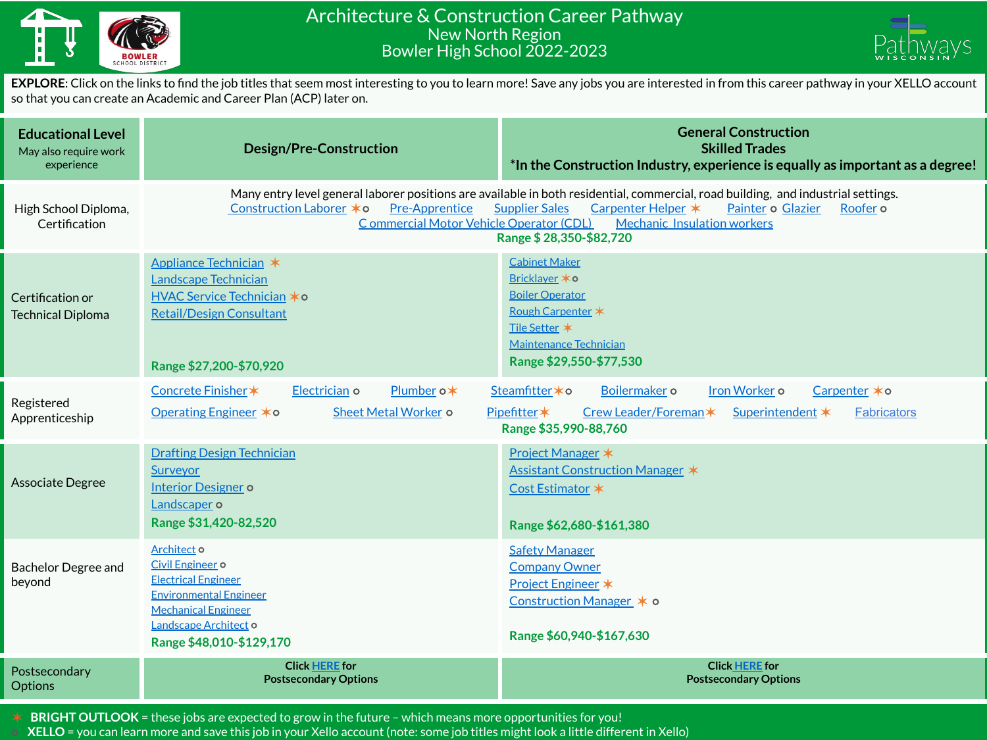

## Architecture & Construction Career Pathway New North Region Bowler High School 2022-2023



**EXPLORE**: Click on the links to find the job titles that seem most interesting to you to learn more! Save any jobs you are interested in from this career pathway in your XELLO account so that you can create an Academic and Career Plan (ACP) later on.

| <b>Educational Level</b><br>May also require work<br>experience | <b>Design/Pre-Construction</b>                                                                                                                                                                                                                                                                                                                                                                | <b>General Construction</b><br><b>Skilled Trades</b><br>*In the Construction Industry, experience is equally as important as a degree!                                      |  |  |  |  |
|-----------------------------------------------------------------|-----------------------------------------------------------------------------------------------------------------------------------------------------------------------------------------------------------------------------------------------------------------------------------------------------------------------------------------------------------------------------------------------|-----------------------------------------------------------------------------------------------------------------------------------------------------------------------------|--|--|--|--|
| High School Diploma,<br>Certification                           | Many entry level general laborer positions are available in both residential, commercial, road building, and industrial settings.<br>Construction Laborer * o<br><b>Pre-Apprentice</b><br>Carpenter Helper *<br><b>Supplier Sales</b><br>Painter o Glazier<br>Roofer <sub>o</sub><br>Commercial Motor Vehicle Operator (CDL)<br><b>Mechanic Insulation workers</b><br>Range \$28,350-\$82,720 |                                                                                                                                                                             |  |  |  |  |
| Certification or<br><b>Technical Diploma</b>                    | Appliance Technician *<br>Landscape Technician<br>HVAC Service Technician *o<br><b>Retail/Design Consultant</b><br>Range \$27,200-\$70,920                                                                                                                                                                                                                                                    | <b>Cabinet Maker</b><br>Bricklaver * o<br><b>Boiler Operator</b><br>Rough Carpenter *<br>Tile Setter *<br><b>Maintenance Technician</b><br>Range \$29,550-\$77,530          |  |  |  |  |
| Registered<br>Apprenticeship                                    | Concrete Finisher*<br>Electrician o<br>Plumber o*<br>Operating Engineer * o<br>Sheet Metal Worker o                                                                                                                                                                                                                                                                                           | Boilermaker o<br>Iron Worker o<br>Carpenter *o<br>Steamfitter * o<br>Crew Leader/Foreman*<br>Pipefitter*<br>Superintendent *<br><b>Fabricators</b><br>Range \$35,990-88,760 |  |  |  |  |
| <b>Associate Degree</b>                                         | <b>Drafting Design Technician</b><br><b>Surveyor</b><br><b>Interior Designer o</b><br>Landscaper o<br>Range \$31,420-82,520                                                                                                                                                                                                                                                                   | Project Manager *<br>Assistant Construction Manager *<br>Cost Estimator *<br>Range \$62,680-\$161,380                                                                       |  |  |  |  |
| <b>Bachelor Degree and</b><br>beyond                            | Architect o<br>Civil Engineer o<br><b>Electrical Engineer</b><br><b>Environmental Engineer</b><br><b>Mechanical Engineer</b><br>Landscape Architect o<br>Range \$48,010-\$129,170                                                                                                                                                                                                             | <b>Safety Manager</b><br><b>Company Owner</b><br><b>Project Engineer *</b><br>Construction Manager * o<br>Range \$60,940-\$167,630                                          |  |  |  |  |
| Postsecondary<br><b>Options</b>                                 | <b>Click HERE for</b><br><b>Postsecondary Options</b>                                                                                                                                                                                                                                                                                                                                         | <b>Click HERE for</b><br><b>Postsecondary Options</b>                                                                                                                       |  |  |  |  |

✶ **BRIGHT OUTLOOK** = these jobs are expected to grow in the future – which means more opportunities for you!

⭘ **XELLO** = you can learn more and save this job in your Xello account (note: some job titles might look a little different in Xello)